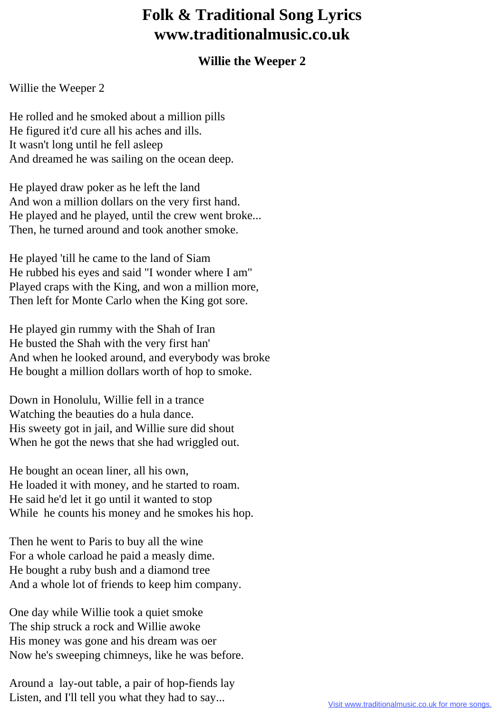## **Folk & Traditional Song Lyrics www.traditionalmusic.co.uk**

## **Willie the Weeper 2**

Willie the Weeper 2

He rolled and he smoked about a million pills He figured it'd cure all his aches and ills. It wasn't long until he fell asleep And dreamed he was sailing on the ocean deep.

He played draw poker as he left the land And won a million dollars on the very first hand. He played and he played, until the crew went broke... Then, he turned around and took another smoke.

He played 'till he came to the land of Siam He rubbed his eyes and said "I wonder where I am" Played craps with the King, and won a million more, Then left for Monte Carlo when the King got sore.

He played gin rummy with the Shah of Iran He busted the Shah with the very first han' And when he looked around, and everybody was broke He bought a million dollars worth of hop to smoke.

Down in Honolulu, Willie fell in a trance Watching the beauties do a hula dance. His sweety got in jail, and Willie sure did shout When he got the news that she had wriggled out.

He bought an ocean liner, all his own, He loaded it with money, and he started to roam. He said he'd let it go until it wanted to stop While he counts his money and he smokes his hop.

Then he went to Paris to buy all the wine For a whole carload he paid a measly dime. He bought a ruby bush and a diamond tree And a whole lot of friends to keep him company.

One day while Willie took a quiet smoke The ship struck a rock and Willie awoke His money was gone and his dream was oer Now he's sweeping chimneys, like he was before.

Around a lay-out table, a pair of hop-fiends lay Listen, and I'll tell you what they had to say...